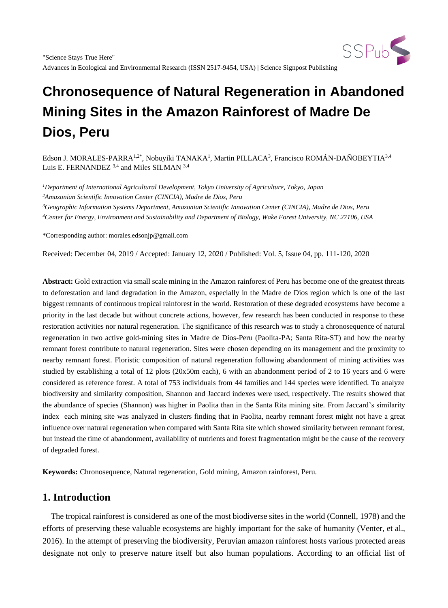

Edson J. MORALES-PARRA<sup>1,2\*</sup>, Nobuyiki TANAKA<sup>1</sup>, Martin PILLACA<sup>3</sup>, Francisco ROMÁN-DAÑOBEYTIA<sup>3,4</sup> Luis E. FERNANDEZ <sup>3,4</sup> and Miles SILMAN <sup>3,4</sup>

*Department of International Agricultural Development, Tokyo University of Agriculture, Tokyo, Japan Amazonian Scientific Innovation Center (CINCIA), Madre de Dios, Peru Geographic Information Systems Department, Amazonian Scientific Innovation Center (CINCIA), Madre de Dios, Peru Center for Energy, Environment and Sustainability and Department of Biology, Wake Forest University, NC 27106, USA*

\*Corresponding author: morales.edsonjp@gmail.com

Received: December 04, 2019 / Accepted: January 12, 2020 / Published: Vol. 5, Issue 04, pp. 111-120, 2020

**Abstract:** Gold extraction via small scale mining in the Amazon rainforest of Peru has become one of the greatest threats to deforestation and land degradation in the Amazon, especially in the Madre de Dios region which is one of the last biggest remnants of continuous tropical rainforest in the world. Restoration of these degraded ecosystems have become a priority in the last decade but without concrete actions, however, few research has been conducted in response to these restoration activities nor natural regeneration. The significance of this research was to study a chronosequence of natural regeneration in two active gold-mining sites in Madre de Dios-Peru (Paolita-PA; Santa Rita-ST) and how the nearby remnant forest contribute to natural regeneration. Sites were chosen depending on its management and the proximity to nearby remnant forest. Floristic composition of natural regeneration following abandonment of mining activities was studied by establishing a total of 12 plots (20x50m each), 6 with an abandonment period of 2 to 16 years and 6 were considered as reference forest. A total of 753 individuals from 44 families and 144 species were identified. To analyze biodiversity and similarity composition, Shannon and Jaccard indexes were used, respectively. The results showed that the abundance of species (Shannon) was higher in Paolita than in the Santa Rita mining site. From Jaccard's similarity index each mining site was analyzed in clusters finding that in Paolita, nearby remnant forest might not have a great influence over natural regeneration when compared with Santa Rita site which showed similarity between remnant forest, but instead the time of abandonment, availability of nutrients and forest fragmentation might be the cause of the recovery of degraded forest.

**Keywords:** Chronosequence, Natural regeneration, Gold mining, Amazon rainforest, Peru.

# **1. Introduction**

The tropical rainforest is considered as one of the most biodiverse sites in the world (Connell, 1978) and the efforts of preserving these valuable ecosystems are highly important for the sake of humanity (Venter, et al., 2016). In the attempt of preserving the biodiversity, Peruvian amazon rainforest hosts various protected areas designate not only to preserve nature itself but also human populations. According to an official list of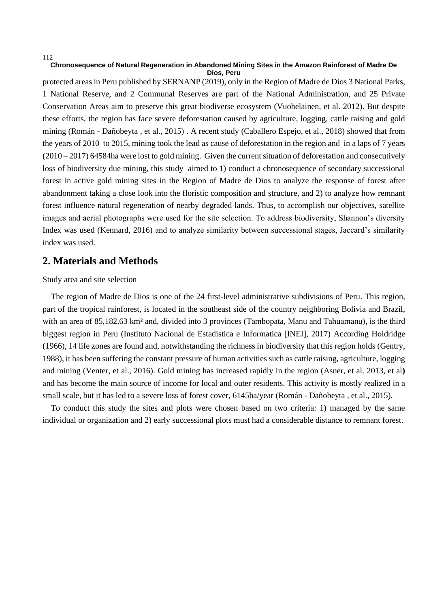#### 112

#### **Chronosequence of Natural Regeneration in Abandoned Mining Sites in the Amazon Rainforest of Madre De Dios, Peru**

protected areas in Peru published by SERNANP (2019), only in the Region of Madre de Dios 3 National Parks, 1 National Reserve, and 2 Communal Reserves are part of the National Administration, and 25 Private Conservation Areas aim to preserve this great biodiverse ecosystem (Vuohelainen, et al. 2012). But despite these efforts, the region has face severe deforestation caused by agriculture, logging, cattle raising and gold mining (Román - Dañobeyta , et al., 2015) . A recent study (Caballero Espejo, et al., 2018) showed that from the years of 2010 to 2015, mining took the lead as cause of deforestation in the region and in a laps of 7 years (2010 – 2017) 64584ha were lost to gold mining. Given the current situation of deforestation and consecutively loss of biodiversity due mining, this study aimed to 1) conduct a chronosequence of secondary successional forest in active gold mining sites in the Region of Madre de Dios to analyze the response of forest after abandonment taking a close look into the floristic composition and structure, and 2) to analyze how remnant forest influence natural regeneration of nearby degraded lands. Thus, to accomplish our objectives, satellite images and aerial photographs were used for the site selection. To address biodiversity, Shannon's diversity Index was used (Kennard, 2016) and to analyze similarity between successional stages, Jaccard's similarity index was used.

## **2. Materials and Methods**

## Study area and site selection

The region of Madre de Dios is one of the 24 first-level administrative subdivisions of Peru. This region, part of the tropical rainforest, is located in the southeast side of the country neighboring Bolivia and Brazil, with an area of 85,182.63 km<sup>2</sup> and, divided into 3 provinces (Tambopata, Manu and Tahuamanu), is the third biggest region in Peru (Instituto Nacional de Estadistica e Informatica [INEI], 2017) According Holdridge (1966), 14 life zones are found and, notwithstanding the richness in biodiversity that this region holds (Gentry, 1988), it has been suffering the constant pressure of human activities such as cattle raising, agriculture, logging and mining (Venter, et al., 2016). Gold mining has increased rapidly in the region (Asner, et al. 2013, et al**)** and has become the main source of income for local and outer residents. This activity is mostly realized in a small scale, but it has led to a severe loss of forest cover, 6145ha/year (Román - Dañobeyta , et al., 2015).

To conduct this study the sites and plots were chosen based on two criteria: 1) managed by the same individual or organization and 2) early successional plots must had a considerable distance to remnant forest.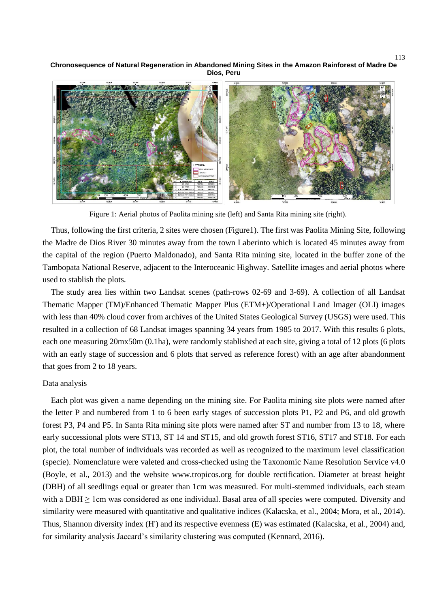**Chronosequence of Natural Regeneration in Abandoned Mining Sites in the Amazon Rainforest of Madre De Dios, Peru**



Figure 1: Aerial photos of Paolita mining site (left) and Santa Rita mining site (right).

Thus, following the first criteria, 2 sites were chosen (Figure1). The first was Paolita Mining Site, following the Madre de Dios River 30 minutes away from the town Laberinto which is located 45 minutes away from the capital of the region (Puerto Maldonado), and Santa Rita mining site, located in the buffer zone of the Tambopata National Reserve, adjacent to the Interoceanic Highway. Satellite images and aerial photos where used to stablish the plots.

The study area lies within two Landsat scenes (path-rows 02-69 and 3-69). A collection of all Landsat Thematic Mapper (TM)/Enhanced Thematic Mapper Plus (ETM+)/Operational Land Imager (OLI) images with less than 40% cloud cover from archives of the United States Geological Survey (USGS) were used. This resulted in a collection of 68 Landsat images spanning 34 years from 1985 to 2017. With this results 6 plots, each one measuring 20mx50m (0.1ha), were randomly stablished at each site, giving a total of 12 plots (6 plots with an early stage of succession and 6 plots that served as reference forest) with an age after abandonment that goes from 2 to 18 years.

#### Data analysis

Each plot was given a name depending on the mining site. For Paolita mining site plots were named after the letter P and numbered from 1 to 6 been early stages of succession plots P1, P2 and P6, and old growth forest P3, P4 and P5. In Santa Rita mining site plots were named after ST and number from 13 to 18, where early successional plots were ST13, ST 14 and ST15, and old growth forest ST16, ST17 and ST18. For each plot, the total number of individuals was recorded as well as recognized to the maximum level classification (specie). Nomenclature were valeted and cross-checked using the Taxonomic Name Resolution Service v4.0 (Boyle, et al., 2013) and the website www.tropicos.org for double rectification. Diameter at breast height (DBH) of all seedlings equal or greater than 1cm was measured. For multi-stemmed individuals, each steam with a DBH  $\geq$  1cm was considered as one individual. Basal area of all species were computed. Diversity and similarity were measured with quantitative and qualitative indices (Kalacska, et al., 2004; Mora, et al., 2014). Thus, Shannon diversity index (H') and its respective evenness (E) was estimated (Kalacska, et al., 2004) and, for similarity analysis Jaccard's similarity clustering was computed (Kennard, 2016).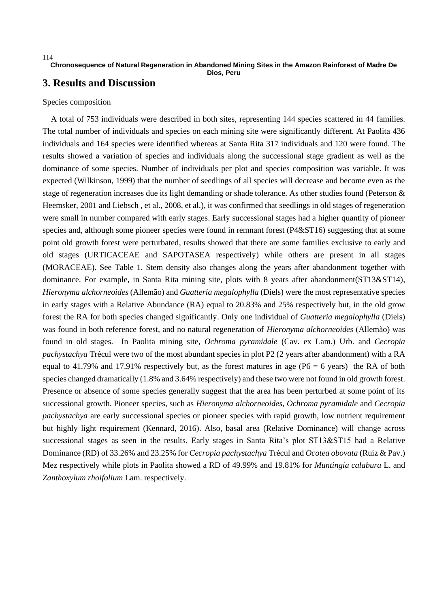**Dios, Peru**

# **3. Results and Discussion**

## Species composition

A total of 753 individuals were described in both sites, representing 144 species scattered in 44 families. The total number of individuals and species on each mining site were significantly different. At Paolita 436 individuals and 164 species were identified whereas at Santa Rita 317 individuals and 120 were found. The results showed a variation of species and individuals along the successional stage gradient as well as the dominance of some species. Number of individuals per plot and species composition was variable. It was expected (Wilkinson, 1999) that the number of seedlings of all species will decrease and become even as the stage of regeneration increases due its light demanding or shade tolerance. As other studies found (Peterson & Heemsker, 2001 and Liebsch , et al., 2008, et al.), it was confirmed that seedlings in old stages of regeneration were small in number compared with early stages. Early successional stages had a higher quantity of pioneer species and, although some pioneer species were found in remnant forest (P4&ST16) suggesting that at some point old growth forest were perturbated, results showed that there are some families exclusive to early and old stages (URTICACEAE and SAPOTASEA respectively) while others are present in all stages (MORACEAE). See Table 1. Stem density also changes along the years after abandonment together with dominance. For example, in Santa Rita mining site, plots with 8 years after abandonment(ST13&ST14), *Hieronyma alchorneoides* (Allemão) and *Guatteria megalophylla* (Diels) were the most representative species in early stages with a Relative Abundance (RA) equal to 20.83% and 25% respectively but, in the old grow forest the RA for both species changed significantly. Only one individual of *Guatteria megalophylla* (Diels) was found in both reference forest, and no natural regeneration of *Hieronyma alchorneoides* (Allemão) was found in old stages. In Paolita mining site, *Ochroma pyramidale* (Cav. ex Lam.) Urb. and *Cecropia pachystachya* Trécul were two of the most abundant species in plot P2 (2 years after abandonment) with a RA equal to 41.79% and 17.91% respectively but, as the forest matures in age ( $P6 = 6$  years) the RA of both species changed dramatically (1.8% and 3.64% respectively) and these two were not found in old growth forest. Presence or absence of some species generally suggest that the area has been perturbed at some point of its successional growth. Pioneer species, such as *Hieronyma alchorneoides, Ochroma pyramidale* and *Cecropia pachystachya* are early successional species or pioneer species with rapid growth, low nutrient requirement but highly light requirement (Kennard, 2016). Also, basal area (Relative Dominance) will change across successional stages as seen in the results. Early stages in Santa Rita's plot ST13&ST15 had a Relative Dominance (RD) of 33.26% and 23.25% for *Cecropia pachystachya* Trécul and *Ocotea obovata* (Ruiz & Pav.) Mez respectively while plots in Paolita showed a RD of 49.99% and 19.81% for *Muntingia calabura* L. and *Zanthoxylum rhoifolium* Lam. respectively.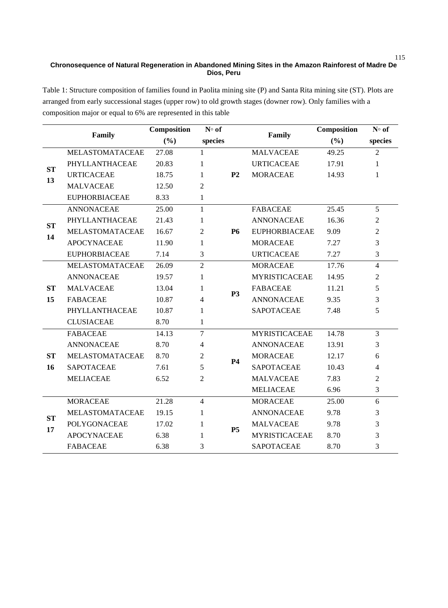Table 1: Structure composition of families found in Paolita mining site (P) and Santa Rita mining site (ST). Plots are arranged from early successional stages (upper row) to old growth stages (downer row). Only families with a composition major or equal to 6% are represented in this table

|                 |                        | Composition | $N°$ of        |                |                      | Composition | $N°$ of        |
|-----------------|------------------------|-------------|----------------|----------------|----------------------|-------------|----------------|
|                 | Family                 | (9/0)       | species        |                | Family               | (9/0)       | species        |
| <b>ST</b><br>13 | <b>MELASTOMATACEAE</b> | 27.08       | $\mathbf{1}$   |                | <b>MALVACEAE</b>     | 49.25       | $\mathfrak{D}$ |
|                 | PHYLLANTHACEAE         | 20.83       | 1              |                | <b>URTICACEAE</b>    | 17.91       | 1              |
|                 | <b>URTICACEAE</b>      | 18.75       | 1              | P <sub>2</sub> | <b>MORACEAE</b>      | 14.93       | 1              |
|                 | <b>MALVACEAE</b>       | 12.50       | $\overline{2}$ |                |                      |             |                |
|                 | <b>EUPHORBIACEAE</b>   | 8.33        | 1              |                |                      |             |                |
| <b>ST</b><br>14 | <b>ANNONACEAE</b>      | 25.00       | 1              |                | <b>FABACEAE</b>      | 25.45       | 5              |
|                 | PHYLLANTHACEAE         | 21.43       | 1              | <b>P6</b>      | <b>ANNONACEAE</b>    | 16.36       | 2              |
|                 | MELASTOMATACEAE        | 16.67       | $\overline{2}$ |                | <b>EUPHORBIACEAE</b> | 9.09        | 2              |
|                 | <b>APOCYNACEAE</b>     | 11.90       | 1              |                | <b>MORACEAE</b>      | 7.27        | 3              |
|                 | <b>EUPHORBIACEAE</b>   | 7.14        | 3              |                | <b>URTICACEAE</b>    | 7.27        | 3              |
| <b>ST</b><br>15 | <b>MELASTOMATACEAE</b> | 26.09       | $\overline{2}$ | P <sub>3</sub> | <b>MORACEAE</b>      | 17.76       | $\overline{4}$ |
|                 | <b>ANNONACEAE</b>      | 19.57       | 1              |                | <b>MYRISTICACEAE</b> | 14.95       | 2              |
|                 | <b>MALVACEAE</b>       | 13.04       | 1              |                | <b>FABACEAE</b>      | 11.21       | 5              |
|                 | <b>FABACEAE</b>        | 10.87       | $\overline{4}$ |                | <b>ANNONACEAE</b>    | 9.35        | 3              |
|                 | PHYLLANTHACEAE         | 10.87       | 1              |                | <b>SAPOTACEAE</b>    | 7.48        | 5              |
|                 | <b>CLUSIACEAE</b>      | 8.70        | 1              |                |                      |             |                |
| <b>ST</b><br>16 | <b>FABACEAE</b>        | 14.13       | 7              | <b>P4</b>      | <b>MYRISTICACEAE</b> | 14.78       | 3              |
|                 | <b>ANNONACEAE</b>      | 8.70        | $\overline{4}$ |                | <b>ANNONACEAE</b>    | 13.91       | 3              |
|                 | MELASTOMATACEAE        | 8.70        | $\overline{2}$ |                | <b>MORACEAE</b>      | 12.17       | 6              |
|                 | <b>SAPOTACEAE</b>      | 7.61        | 5              |                | <b>SAPOTACEAE</b>    | 10.43       | 4              |
|                 | <b>MELIACEAE</b>       | 6.52        | $\overline{2}$ |                | <b>MALVACEAE</b>     | 7.83        | 2              |
|                 |                        |             |                |                | <b>MELIACEAE</b>     | 6.96        | 3              |
| <b>ST</b><br>17 | <b>MORACEAE</b>        | 21.28       | $\overline{4}$ |                | <b>MORACEAE</b>      | 25.00       | 6              |
|                 | MELASTOMATACEAE        | 19.15       | 1              |                | <b>ANNONACEAE</b>    | 9.78        | 3              |
|                 | POLYGONACEAE           | 17.02       | 1              | <b>P5</b>      | <b>MALVACEAE</b>     | 9.78        | 3              |
|                 | <b>APOCYNACEAE</b>     | 6.38        | 1              |                | <b>MYRISTICACEAE</b> | 8.70        | 3              |
|                 | <b>FABACEAE</b>        | 6.38        | 3              |                | <b>SAPOTACEAE</b>    | 8.70        | 3              |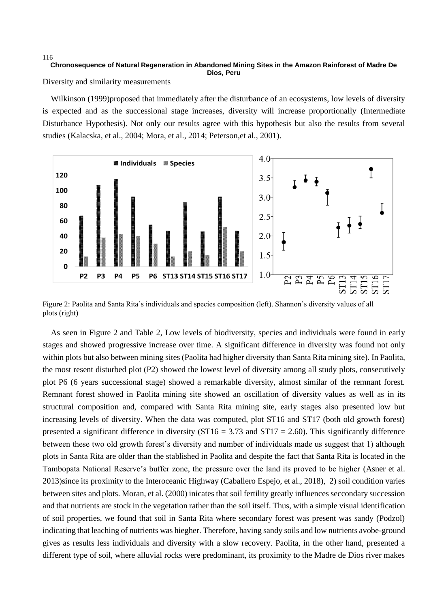Diversity and similarity measurements

116

Wilkinson (1999)proposed that immediately after the disturbance of an ecosystems, low levels of diversity is expected and as the successional stage increases, diversity will increase proportionally (Intermediate Disturbance Hypothesis). Not only our results agree with this hypothesis but also the results from several studies (Kalacska, et al., 2004; Mora, et al., 2014; Peterson,et al., 2001).



Figure 2: Paolita and Santa Rita's individuals and species composition (left). Shannon's diversity values of all plots (right)

As seen in Figure 2 and Table 2, Low levels of biodiversity, species and individuals were found in early stages and showed progressive increase over time. A significant difference in diversity was found not only within plots but also between mining sites (Paolita had higher diversity than Santa Rita mining site). In Paolita, the most resent disturbed plot (P2) showed the lowest level of diversity among all study plots, consecutively plot P6 (6 years successional stage) showed a remarkable diversity, almost similar of the remnant forest. Remnant forest showed in Paolita mining site showed an oscillation of diversity values as well as in its structural composition and, compared with Santa Rita mining site, early stages also presented low but increasing levels of diversity. When the data was computed, plot ST16 and ST17 (both old growth forest) presented a significant difference in diversity (ST16 = 3.73 and ST17 = 2.60). This significantly difference between these two old growth forest's diversity and number of individuals made us suggest that 1) although plots in Santa Rita are older than the stablished in Paolita and despite the fact that Santa Rita is located in the Tambopata National Reserve's buffer zone, the pressure over the land its proved to be higher (Asner et al. 2013)since its proximity to the Interoceanic Highway (Caballero Espejo, et al., 2018), 2) soil condition varies between sites and plots. Moran, et al. (2000) inicates that soil fertility greatly influences seccondary succession and that nutrients are stock in the vegetation rather than the soil itself. Thus, with a simple visual identification of soil properties, we found that soil in Santa Rita where secondary forest was present was sandy (Podzol) indicating that leaching of nutrients was hiegher. Therefore, having sandy soils and low nutrients avobe-ground gives as results less individuals and diversity with a slow recovery. Paolita, in the other hand, presented a different type of soil, where alluvial rocks were predominant, its proximity to the Madre de Dios river makes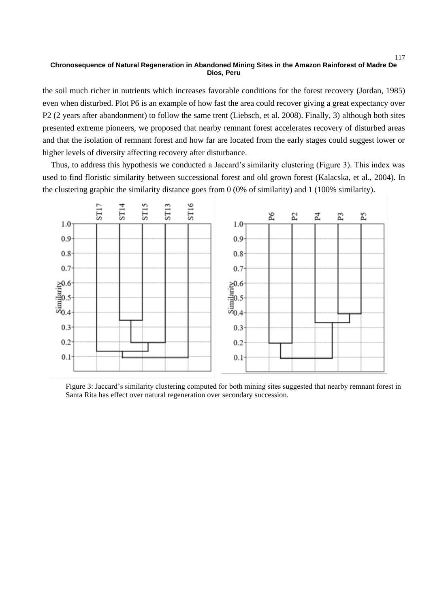the soil much richer in nutrients which increases favorable conditions for the forest recovery (Jordan, 1985) even when disturbed. Plot P6 is an example of how fast the area could recover giving a great expectancy over P2 (2 years after abandonment) to follow the same trent (Liebsch, et al. 2008). Finally, 3) although both sites presented extreme pioneers, we proposed that nearby remnant forest accelerates recovery of disturbed areas and that the isolation of remnant forest and how far are located from the early stages could suggest lower or higher levels of diversity affecting recovery after disturbance.

Thus, to address this hypothesis we conducted a Jaccard's similarity clustering (Figure 3). This index was used to find floristic similarity between successional forest and old grown forest (Kalacska, et al., 2004). In the clustering graphic the similarity distance goes from 0 (0% of similarity) and 1 (100% similarity).



Figure 3: Jaccard's similarity clustering computed for both mining sites suggested that nearby remnant forest in Santa Rita has effect over natural regeneration over secondary succession.

117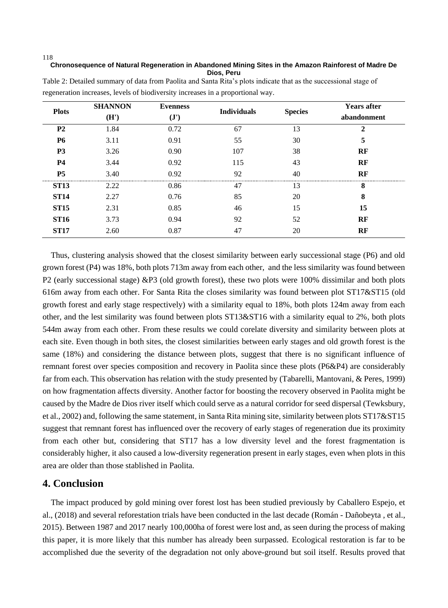#### 118

### **Chronosequence of Natural Regeneration in Abandoned Mining Sites in the Amazon Rainforest of Madre De Dios, Peru**

| <b>Plots</b>   | <b>SHANNON</b> | <b>Evenness</b> | <b>Individuals</b> |                | <b>Years after</b> |
|----------------|----------------|-----------------|--------------------|----------------|--------------------|
|                | (H')           | $(\mathbf{J}')$ |                    | <b>Species</b> | abandonment        |
| P <sub>2</sub> | 1.84           | 0.72            | 67                 | 13             | $\mathbf{2}$       |
| <b>P6</b>      | 3.11           | 0.91            | 55                 | 30             | 5                  |
| P <sub>3</sub> | 3.26           | 0.90            | 107                | 38             | RF                 |
| <b>P4</b>      | 3.44           | 0.92            | 115                | 43             | RF                 |
| <b>P5</b>      | 3.40           | 0.92            | 92                 | 40             | RF                 |
| <b>ST13</b>    | 2.22           | 0.86            | 47                 | 13             | 8                  |
| <b>ST14</b>    | 2.27           | 0.76            | 85                 | 20             | 8                  |
| <b>ST15</b>    | 2.31           | 0.85            | 46                 | 15             | 15                 |
| <b>ST16</b>    | 3.73           | 0.94            | 92                 | 52             | RF                 |
| <b>ST17</b>    | 2.60           | 0.87            | 47                 | 20             | RF                 |

Table 2: Detailed summary of data from Paolita and Santa Rita's plots indicate that as the successional stage of regeneration increases, levels of biodiversity increases in a proportional way.

Thus, clustering analysis showed that the closest similarity between early successional stage (P6) and old grown forest (P4) was 18%, both plots 713m away from each other, and the less similarity was found between P2 (early successional stage) &P3 (old growth forest), these two plots were 100% dissimilar and both plots 616m away from each other. For Santa Rita the closes similarity was found between plot ST17&ST15 (old growth forest and early stage respectively) with a similarity equal to 18%, both plots 124m away from each other, and the lest similarity was found between plots ST13&ST16 with a similarity equal to 2%, both plots 544m away from each other. From these results we could corelate diversity and similarity between plots at each site. Even though in both sites, the closest similarities between early stages and old growth forest is the same (18%) and considering the distance between plots, suggest that there is no significant influence of remnant forest over species composition and recovery in Paolita since these plots (P6&P4) are considerably far from each. This observation has relation with the study presented by (Tabarelli, Mantovani, & Peres, 1999) on how fragmentation affects diversity. Another factor for boosting the recovery observed in Paolita might be caused by the Madre de Dios river itself which could serve as a natural corridor for seed dispersal (Tewksbury, et al., 2002) and, following the same statement, in Santa Rita mining site, similarity between plots ST17&ST15 suggest that remnant forest has influenced over the recovery of early stages of regeneration due its proximity from each other but, considering that ST17 has a low diversity level and the forest fragmentation is considerably higher, it also caused a low-diversity regeneration present in early stages, even when plots in this area are older than those stablished in Paolita.

# **4. Conclusion**

The impact produced by gold mining over forest lost has been studied previously by Caballero Espejo, et al., (2018) and several reforestation trials have been conducted in the last decade (Román - Dañobeyta , et al., 2015). Between 1987 and 2017 nearly 100,000ha of forest were lost and, as seen during the process of making this paper, it is more likely that this number has already been surpassed. Ecological restoration is far to be accomplished due the severity of the degradation not only above-ground but soil itself. Results proved that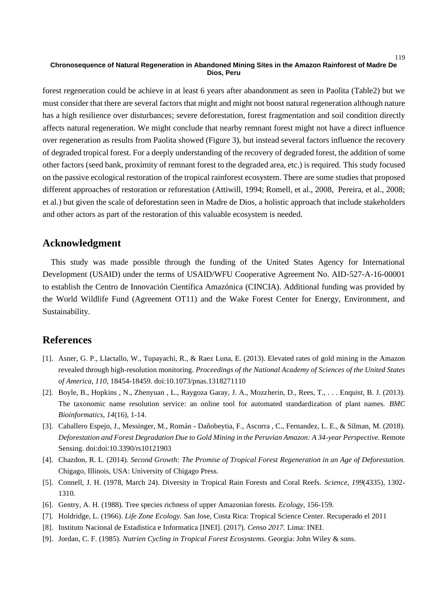forest regeneration could be achieve in at least 6 years after abandonment as seen in Paolita (Table2) but we must consider that there are several factors that might and might not boost natural regeneration although nature has a high resilience over disturbances; severe deforestation, forest fragmentation and soil condition directly affects natural regeneration. We might conclude that nearby remnant forest might not have a direct influence over regeneration as results from Paolita showed (Figure 3), but instead several factors influence the recovery of degraded tropical forest. For a deeply understanding of the recovery of degraded forest, the addition of some other factors (seed bank, proximity of remnant forest to the degraded area, etc.) is required. This study focused on the passive ecological restoration of the tropical rainforest ecosystem. There are some studies that proposed different approaches of restoration or reforestation (Attiwill, 1994; Romell, et al., 2008, Pereira, et al., 2008; et al.) but given the scale of deforestation seen in Madre de Dios, a holistic approach that include stakeholders and other actors as part of the restoration of this valuable ecosystem is needed.

# **Acknowledgment**

This study was made possible through the funding of the United States Agency for International Development (USAID) under the terms of USAID/WFU Cooperative Agreement No. AID-527-A-16-00001 to establish the Centro de Innovación Científica Amazónica (CINCIA). Additional funding was provided by the World Wildlife Fund (Agreement OT11) and the Wake Forest Center for Energy, Environment, and Sustainability.

# **References**

- [1]. Asner, G. P., Llactallo, W., Tupayachi, R., & Raez Luna, E. (2013). Elevated rates of gold mining in the Amazon revealed through high-resolution monitoring. *Proceedings of the National Academy of Sciences of the United States of America, 110*, 18454-18459. doi:10.1073/pnas.1318271110
- [2]. Boyle, B., Hopkins , N., Zhenyuan , L., Raygoza Garay, J. A., Mozzherin, D., Rees, T., . . . Enquist, B. J. (2013). The taxonomic name resolution service: an online tool for automated standardization of plant names. *BMC Bioinformatics, 14*(16), 1-14.
- [3]. Caballero Espejo, J., Messinger, M., Román Dañobeytia, F., Ascorra , C., Fernandez, L. E., & Silman, M. (2018). *Deforestation and Forest Degradation Due to Gold Mining in the Peruvian Amazon: A 34-year Perspective.* Remote Sensing. doi:doi:10.3390/rs10121903
- [4]. Chazdon, R. L. (2014). *Second Growth: The Promise of Tropical Forest Regeneration in an Age of Deforestation.* Chigago, Illinois, USA: University of Chigago Press.
- [5]. Connell, J. H. (1978, March 24). Diversity in Tropical Rain Forests and Coral Reefs. *Science, 199*(4335), 1302- 1310.
- [6]. Gentry, A. H. (1988). Tree species richness of upper Amazonian forests. *Ecology*, 156-159.
- [7]. Holdridge, L. (1966). *Life Zone Ecology.* San Jose, Costa Rica: Tropical Science Center. Recuperado el 2011
- [8]. Instituto Nacional de Estadistica e Informatica [INEI]. (2017). *Censo 2017.* Lima: INEI.
- [9]. Jordan, C. F. (1985). *Nutrien Cycling in Tropical Forest Ecosystems.* Georgia: John Wiley & sons.